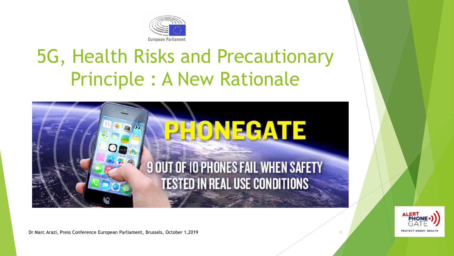

# 5G, Health Risks and Precautionary Principle : A New Rationale



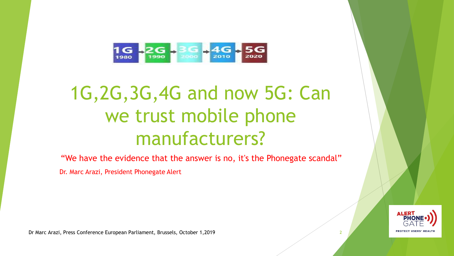

# 1G,2G,3G,4G and now 5G: Can we trust mobile phone manufacturers?

"We have the evidence that the answer is no, it's the Phonegate scandal"

Dr. Marc Arazi, President Phonegate Alert

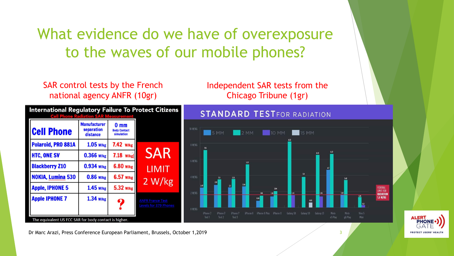### What evidence do we have of overexposure to the waves of our mobile phones?

SAR control tests by the French national agency ANFR (10gr)



Independent SAR tests from the Chicago Tribune (1gr)



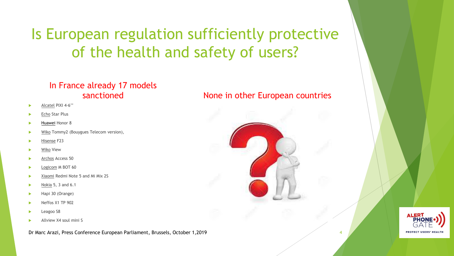Is European regulation sufficiently protective of the health and safety of users?

#### In France already 17 models sanctioned

- Alcatel PIXI 4-6''
- Echo Star Plus
- Huawei Honor 8
- Wiko Tommy2 (Bouygues Telecom version),
- Hisense F23
- Wiko View
- Archos Access 50
- Logicom M BOT 60
- Xiaomi Redmi Note 5 and Mi Mix 2S
- Nokia 5, 3 and 6.1
- Hapi 30 (Orange)
- Neffos X1 TP 902
- Leagoo S8
- Allview X4 soul mini S

Dr Marc Arazi, Press Conference European Parliament, Brussels, October 1,2019 4

### None in other European countries

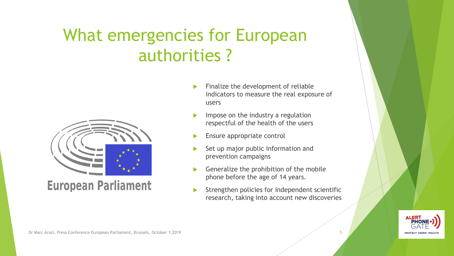## What emergencies for European authorities ?



### **European Parliament**

- Finalize the development of reliable indicators to measure the real exposure of users
- Impose on the industry a regulation respectful of the health of the users
- Ensure appropriate control
- Set up major public information and prevention campaigns
- Generalize the prohibition of the mobile phone before the age of 14 years.
- Strengthen policies for independent scientific research, taking into account new discoveries

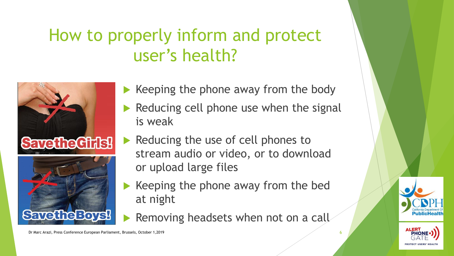## How to properly inform and protect user's health?



- $\blacktriangleright$  Keeping the phone away from the body
- $\blacktriangleright$  Reducing cell phone use when the signal is weak
	- Reducing the use of cell phones to stream audio or video, or to download or upload large files
- $\blacktriangleright$  Keeping the phone away from the bed at night
- Removing headsets when not on a call

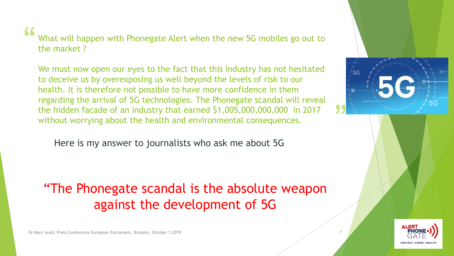#### " What will happen with Phonegate Alert when the new 5G mobiles go out to the market ?

We must now open our eyes to the fact that this industry has not hesitated to deceive us by overexposing us well beyond the levels of risk to our health. It is therefore not possible to have more confidence in them regarding the arrival of 5G technologies. The Phonegate scandal will reveal the hidden facade of an industry that earned \$1,005,000,000,000 in 2017 without worrying about the health and environmental consequences.

Here is my answer to journalists who ask me about 5G

### "The Phonegate scandal is the absolute weapon against the development of 5G